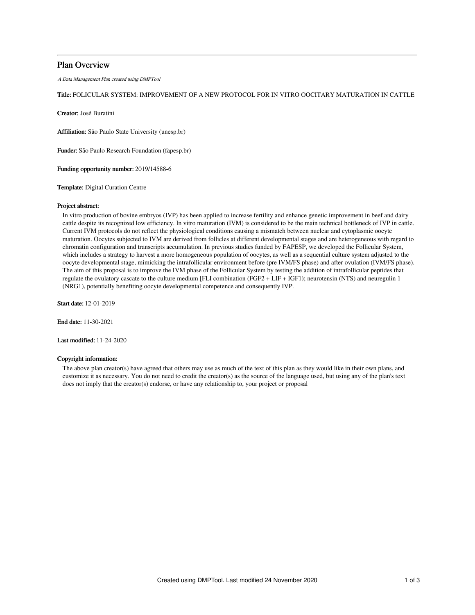### Plan Overview

A Data Management Plan created using DMPTool

### Title: FOLICULAR SYSTEM: IMPROVEMENT OF A NEW PROTOCOL FOR IN VITRO OOCITARY MATURATION IN CATTLE

Creator: José Buratini

Affiliation: São Paulo State University (unesp.br)

Funder: São Paulo Research Foundation (fapesp.br)

Funding opportunity number: 2019/14588-6

Template: Digital Curation Centre

#### Project abstract:

In vitro production of bovine embryos (IVP) has been applied to increase fertility and enhance genetic improvement in beef and dairy cattle despite its recognized low efficiency. In vitro maturation (IVM) is considered to be the main technical bottleneck of IVP in cattle. Current IVM protocols do not reflect the physiological conditions causing a mismatch between nuclear and cytoplasmic oocyte maturation. Oocytes subjected to IVM are derived from follicles at different developmental stages and are heterogeneous with regard to chromatin configuration and transcripts accumulation. In previous studies funded by FAPESP, we developed the Follicular System, which includes a strategy to harvest a more homogeneous population of oocytes, as well as a sequential culture system adjusted to the oocyte developmental stage, mimicking the intrafollicular environment before (pre IVM/FS phase) and after ovulation (IVM/FS phase). The aim of this proposal is to improve the IVM phase of the Follicular System by testing the addition of intrafollicular peptides that regulate the ovulatory cascate to the culture medium [FLI combination (FGF2 + LIF + IGF1); neurotensin (NTS) and neuregulin 1 (NRG1), potentially benefiting oocyte developmental competence and consequently IVP.

Start date: 12-01-2019

End date: 11-30-2021

Last modified: 11-24-2020

#### Copyright information:

The above plan creator(s) have agreed that others may use as much of the text of this plan as they would like in their own plans, and customize it as necessary. You do not need to credit the creator(s) as the source of the language used, but using any of the plan's text does not imply that the creator(s) endorse, or have any relationship to, your project or proposal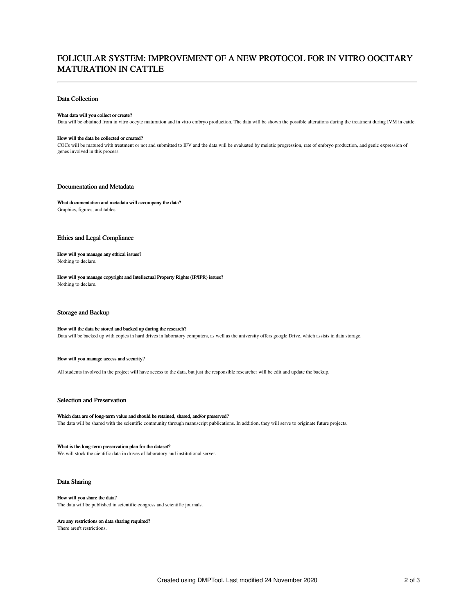# FOLICULAR SYSTEM: IMPROVEMENT OF A NEW PROTOCOL FOR IN VITRO OOCITARY MATURATION IN CATTLE

#### Data Collection

#### What data will you collect or create?

Data will be obtained from in vitro oocyte maturation and in vitro embryo production. The data will be shown the possible alterations during the treatment during IVM in cattle.

#### How will the data be collected or created?

COCs will be matured with treatment or not and submitted to IFV and the data will be evaluated by meiotic progression, rate of embryo production, and genic expression of genes involved in this process.

#### Documentation and Metadata

What documentation and metadata will accompany the data? Graphics, figures, and tables.

### Ethics and Legal Compliance

How will you manage any ethical issues? Nothing to declare.

How will you manage copyright and Intellectual Property Rights (IP/IPR) issues? Nothing to declare.

#### Storage and Backup

### How will the data be stored and backed up during the research?

Data will be backed up with copies in hard drives in laboratory computers, as well as the university offers google Drive, which assists in data storage.

#### How will you manage access and security?

All students involved in the project will have access to the data, but just the responsible researcher will be edit and update the backup.

### Selection and Preservation

Which data are of long-term value and should be retained, shared, and/or preserved? The data will be shared with the scientific community through manuscript publications. In addition, they will serve to originate future projects.

What is the long-term preservation plan for the dataset? We will stock the cientific data in drives of laboratory and institutional server.

#### Data Sharing

How will you share the data? The data will be published in scientific congress and scientific journals.

#### Are any restrictions on data sharing required?

There aren't restrictions.